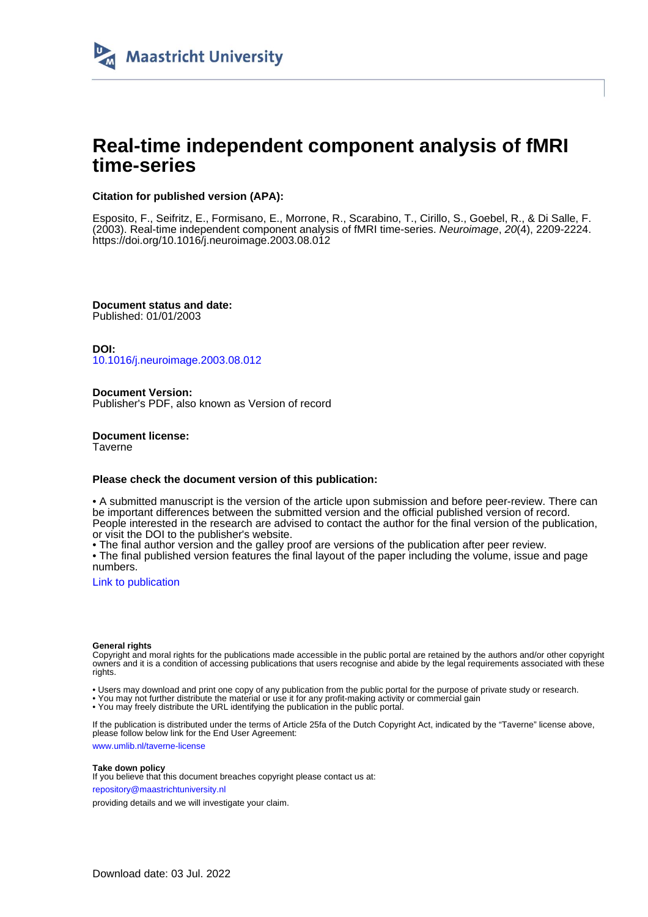

# **Real-time independent component analysis of fMRI time-series**

# **Citation for published version (APA):**

Esposito, F., Seifritz, E., Formisano, E., Morrone, R., Scarabino, T., Cirillo, S., Goebel, R., & Di Salle, F. (2003). Real-time independent component analysis of fMRI time-series. Neuroimage, 20(4), 2209-2224. <https://doi.org/10.1016/j.neuroimage.2003.08.012>

**Document status and date:** Published: 01/01/2003

**DOI:** [10.1016/j.neuroimage.2003.08.012](https://doi.org/10.1016/j.neuroimage.2003.08.012)

**Document Version:** Publisher's PDF, also known as Version of record

**Document license: Taverne** 

## **Please check the document version of this publication:**

• A submitted manuscript is the version of the article upon submission and before peer-review. There can be important differences between the submitted version and the official published version of record. People interested in the research are advised to contact the author for the final version of the publication, or visit the DOI to the publisher's website.

• The final author version and the galley proof are versions of the publication after peer review.

• The final published version features the final layout of the paper including the volume, issue and page numbers.

[Link to publication](https://cris.maastrichtuniversity.nl/en/publications/58d0f84b-15d6-4898-885e-f445aeae2f9d)

#### **General rights**

Copyright and moral rights for the publications made accessible in the public portal are retained by the authors and/or other copyright owners and it is a condition of accessing publications that users recognise and abide by the legal requirements associated with these rights.

• Users may download and print one copy of any publication from the public portal for the purpose of private study or research.

• You may not further distribute the material or use it for any profit-making activity or commercial gain

• You may freely distribute the URL identifying the publication in the public portal.

If the publication is distributed under the terms of Article 25fa of the Dutch Copyright Act, indicated by the "Taverne" license above, please follow below link for the End User Agreement:

www.umlib.nl/taverne-license

### **Take down policy**

If you believe that this document breaches copyright please contact us at: repository@maastrichtuniversity.nl

providing details and we will investigate your claim.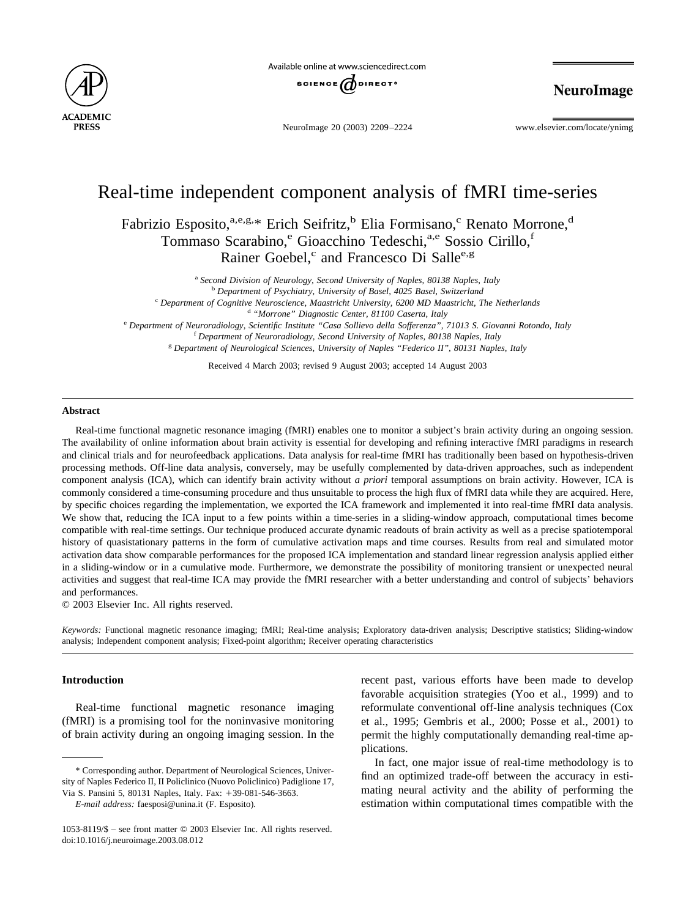

Available online at www.sciencedirect.com SCIENCE  $\omega$  direct<sup>+</sup>

NeuroImage 20 (2003) 2209–2224 www.elsevier.com/locate/ynimg

NeuroImage

# Real-time independent component analysis of fMRI time-series

Fabrizio Esposito,<sup>a,e,g,\*</sup> Erich Seifritz,<sup>b</sup> Elia Formisano,<sup>c</sup> Renato Morrone,<sup>d</sup> Tommaso Scarabino,<sup>e</sup> Gioacchino Tedeschi,<sup>a,e</sup> Sossio Cirillo,<sup>f</sup> Rainer Goebel,<sup>c</sup> and Francesco Di Salle<sup>e,g</sup>

<sup>a</sup> *Second Division of Neurology, Second University of Naples, 80138 Naples, Italy*

<sup>b</sup> *Department of Psychiatry, University of Basel, 4025 Basel, Switzerland*

<sup>c</sup> *Department of Cognitive Neuroscience, Maastricht University, 6200 MD Maastricht, The Netherlands*

<sup>d</sup> *"Morrone" Diagnostic Center, 81100 Caserta, Italy*

<sup>e</sup> *Department of Neuroradiology, Scientific Institute "Casa Sollievo della Sofferenza", 71013 S. Giovanni Rotondo, Italy* <sup>f</sup> *Department of Neuroradiology, Second University of Naples, 80138 Naples, Italy*

<sup>g</sup> *Department of Neurological Sciences, University of Naples "Federico II", 80131 Naples, Italy*

Received 4 March 2003; revised 9 August 2003; accepted 14 August 2003

#### **Abstract**

Real-time functional magnetic resonance imaging (fMRI) enables one to monitor a subject's brain activity during an ongoing session. The availability of online information about brain activity is essential for developing and refining interactive fMRI paradigms in research and clinical trials and for neurofeedback applications. Data analysis for real-time fMRI has traditionally been based on hypothesis-driven processing methods. Off-line data analysis, conversely, may be usefully complemented by data-driven approaches, such as independent component analysis (ICA), which can identify brain activity without *a priori* temporal assumptions on brain activity. However, ICA is commonly considered a time-consuming procedure and thus unsuitable to process the high flux of fMRI data while they are acquired. Here, by specific choices regarding the implementation, we exported the ICA framework and implemented it into real-time fMRI data analysis. We show that, reducing the ICA input to a few points within a time-series in a sliding-window approach, computational times become compatible with real-time settings. Our technique produced accurate dynamic readouts of brain activity as well as a precise spatiotemporal history of quasistationary patterns in the form of cumulative activation maps and time courses. Results from real and simulated motor activation data show comparable performances for the proposed ICA implementation and standard linear regression analysis applied either in a sliding-window or in a cumulative mode. Furthermore, we demonstrate the possibility of monitoring transient or unexpected neural activities and suggest that real-time ICA may provide the fMRI researcher with a better understanding and control of subjects' behaviors and performances.

© 2003 Elsevier Inc. All rights reserved.

*Keywords:* Functional magnetic resonance imaging; fMRI; Real-time analysis; Exploratory data-driven analysis; Descriptive statistics; Sliding-window analysis; Independent component analysis; Fixed-point algorithm; Receiver operating characteristics

### **Introduction**

Real-time functional magnetic resonance imaging (fMRI) is a promising tool for the noninvasive monitoring of brain activity during an ongoing imaging session. In the recent past, various efforts have been made to develop favorable acquisition strategies [\(Yoo et al., 1999\)](#page-16-0) and to reformulate conventional off-line analysis techniques [\(Cox](#page-15-0) [et al., 1995; Gembris et al., 2000; Posse et al., 2001\)](#page-15-0) to permit the highly computationally demanding real-time applications.

In fact, one major issue of real-time methodology is to find an optimized trade-off between the accuracy in estimating neural activity and the ability of performing the estimation within computational times compatible with the

<sup>\*</sup> Corresponding author. Department of Neurological Sciences, University of Naples Federico II, II Policlinico (Nuovo Policlinico) Padiglione 17, Via S. Pansini 5, 80131 Naples, Italy. Fax: +39-081-546-3663.

*E-mail address:* faesposi@unina.it (F. Esposito).

<sup>1053-8119/\$ –</sup> see front matter © 2003 Elsevier Inc. All rights reserved. doi:10.1016/j.neuroimage.2003.08.012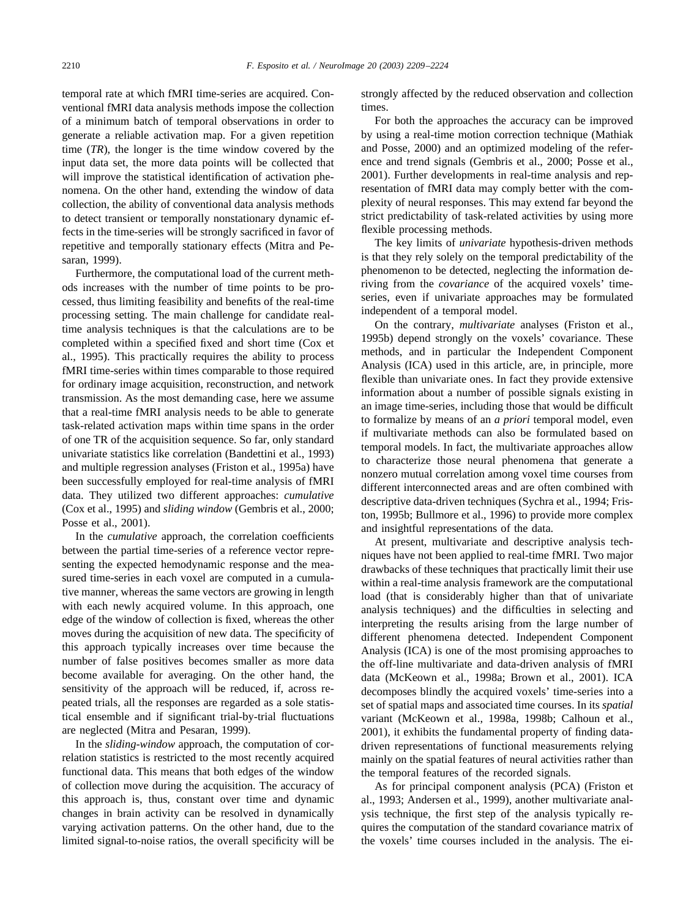temporal rate at which fMRI time-series are acquired. Conventional fMRI data analysis methods impose the collection of a minimum batch of temporal observations in order to generate a reliable activation map. For a given repetition time (*TR*), the longer is the time window covered by the input data set, the more data points will be collected that will improve the statistical identification of activation phenomena. On the other hand, extending the window of data collection, the ability of conventional data analysis methods to detect transient or temporally nonstationary dynamic effects in the time-series will be strongly sacrificed in favor of repetitive and temporally stationary effects [\(Mitra and Pe](#page-16-0)[saran, 1999\).](#page-16-0)

Furthermore, the computational load of the current methods increases with the number of time points to be processed, thus limiting feasibility and benefits of the real-time processing setting. The main challenge for candidate realtime analysis techniques is that the calculations are to be completed within a specified fixed and short time [\(Cox et](#page-15-0) [al., 1995\).](#page-15-0) This practically requires the ability to process fMRI time-series within times comparable to those required for ordinary image acquisition, reconstruction, and network transmission. As the most demanding case, here we assume that a real-time fMRI analysis needs to be able to generate task-related activation maps within time spans in the order of one TR of the acquisition sequence. So far, only standard univariate statistics like correlation [\(Bandettini et al., 1993\)](#page-15-0) and multiple regression analyses [\(Friston et al., 1995a\)](#page-15-0) have been successfully employed for real-time analysis of fMRI data. They utilized two different approaches: *cumulative* [\(Cox et al., 1995\)](#page-15-0) and *sliding window* [\(Gembris et al., 2000;](#page-15-0) [Posse et al., 2001\).](#page-15-0)

In the *cumulative* approach, the correlation coefficients between the partial time-series of a reference vector representing the expected hemodynamic response and the measured time-series in each voxel are computed in a cumulative manner, whereas the same vectors are growing in length with each newly acquired volume. In this approach, one edge of the window of collection is fixed, whereas the other moves during the acquisition of new data. The specificity of this approach typically increases over time because the number of false positives becomes smaller as more data become available for averaging. On the other hand, the sensitivity of the approach will be reduced, if, across repeated trials, all the responses are regarded as a sole statistical ensemble and if significant trial-by-trial fluctuations are neglected [\(Mitra and Pesaran, 1999\).](#page-16-0)

In the *sliding-window* approach, the computation of correlation statistics is restricted to the most recently acquired functional data. This means that both edges of the window of collection move during the acquisition. The accuracy of this approach is, thus, constant over time and dynamic changes in brain activity can be resolved in dynamically varying activation patterns. On the other hand, due to the limited signal-to-noise ratios, the overall specificity will be strongly affected by the reduced observation and collection times.

For both the approaches the accuracy can be improved by using a real-time motion correction technique [\(Mathiak](#page-15-0) [and Posse, 2000\)](#page-15-0) and an optimized modeling of the reference and trend signals [\(Gembris et al., 2000; Posse et al.,](#page-15-0) [2001\).](#page-15-0) Further developments in real-time analysis and representation of fMRI data may comply better with the complexity of neural responses. This may extend far beyond the strict predictability of task-related activities by using more flexible processing methods.

The key limits of *univariate* hypothesis-driven methods is that they rely solely on the temporal predictability of the phenomenon to be detected, neglecting the information deriving from the *covariance* of the acquired voxels' timeseries, even if univariate approaches may be formulated independent of a temporal model.

On the contrary, *multivariate* analyses [\(Friston et al.,](#page-15-0) [1995b\)](#page-15-0) depend strongly on the voxels' covariance. These methods, and in particular the Independent Component Analysis (ICA) used in this article, are, in principle, more flexible than univariate ones. In fact they provide extensive information about a number of possible signals existing in an image time-series, including those that would be difficult to formalize by means of an *a priori* temporal model, even if multivariate methods can also be formulated based on temporal models. In fact, the multivariate approaches allow to characterize those neural phenomena that generate a nonzero mutual correlation among voxel time courses from different interconnected areas and are often combined with descriptive data-driven techniques [\(Sychra et al., 1994; Fris](#page-16-0)[ton, 1995b; Bullmore et al., 1996\)](#page-16-0) to provide more complex and insightful representations of the data.

At present, multivariate and descriptive analysis techniques have not been applied to real-time fMRI. Two major drawbacks of these techniques that practically limit their use within a real-time analysis framework are the computational load (that is considerably higher than that of univariate analysis techniques) and the difficulties in selecting and interpreting the results arising from the large number of different phenomena detected. Independent Component Analysis (ICA) is one of the most promising approaches to the off-line multivariate and data-driven analysis of fMRI data [\(McKeown et al., 1998a; Brown et al., 2001\).](#page-16-0) ICA decomposes blindly the acquired voxels' time-series into a set of spatial maps and associated time courses. In its *spatial* variant [\(McKeown et al., 1998a, 1998b; Calhoun et al.,](#page-16-0) [2001\),](#page-16-0) it exhibits the fundamental property of finding datadriven representations of functional measurements relying mainly on the spatial features of neural activities rather than the temporal features of the recorded signals.

As for principal component analysis (PCA) [\(Friston et](#page-15-0) [al., 1993; Andersen et al., 1999\),](#page-15-0) another multivariate analysis technique, the first step of the analysis typically requires the computation of the standard covariance matrix of the voxels' time courses included in the analysis. The ei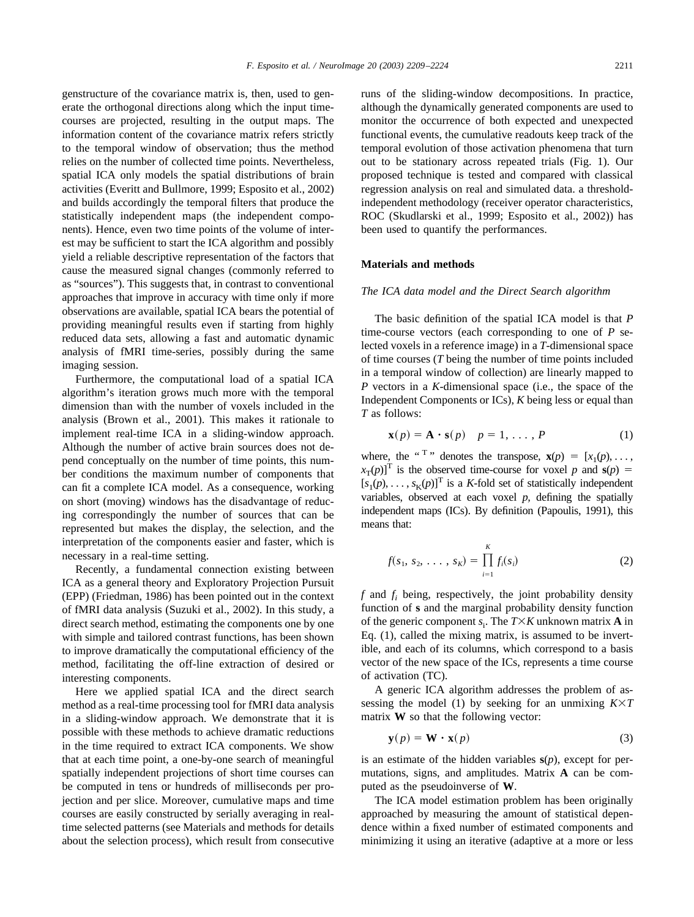genstructure of the covariance matrix is, then, used to generate the orthogonal directions along which the input timecourses are projected, resulting in the output maps. The information content of the covariance matrix refers strictly to the temporal window of observation; thus the method relies on the number of collected time points. Nevertheless, spatial ICA only models the spatial distributions of brain activities [\(Everitt and Bullmore, 1999; Esposito et al., 2002\)](#page-15-0) and builds accordingly the temporal filters that produce the statistically independent maps (the independent components). Hence, even two time points of the volume of interest may be sufficient to start the ICA algorithm and possibly yield a reliable descriptive representation of the factors that cause the measured signal changes (commonly referred to as "sources"). This suggests that, in contrast to conventional approaches that improve in accuracy with time only if more observations are available, spatial ICA bears the potential of providing meaningful results even if starting from highly reduced data sets, allowing a fast and automatic dynamic analysis of fMRI time-series, possibly during the same imaging session.

Furthermore, the computational load of a spatial ICA algorithm's iteration grows much more with the temporal dimension than with the number of voxels included in the analysis [\(Brown et al., 2001\).](#page-15-0) This makes it rationale to implement real-time ICA in a sliding-window approach. Although the number of active brain sources does not depend conceptually on the number of time points, this number conditions the maximum number of components that can fit a complete ICA model. As a consequence, working on short (moving) windows has the disadvantage of reducing correspondingly the number of sources that can be represented but makes the display, the selection, and the interpretation of the components easier and faster, which is necessary in a real-time setting.

Recently, a fundamental connection existing between ICA as a general theory and Exploratory Projection Pursuit (EPP) [\(Friedman, 1986\)](#page-15-0) has been pointed out in the context of fMRI data analysis [\(Suzuki et al., 2002\).](#page-16-0) In this study, a direct search method, estimating the components one by one with simple and tailored contrast functions, has been shown to improve dramatically the computational efficiency of the method, facilitating the off-line extraction of desired or interesting components.

Here we applied spatial ICA and the direct search method as a real-time processing tool for fMRI data analysis in a sliding-window approach. We demonstrate that it is possible with these methods to achieve dramatic reductions in the time required to extract ICA components. We show that at each time point, a one-by-one search of meaningful spatially independent projections of short time courses can be computed in tens or hundreds of milliseconds per projection and per slice. Moreover, cumulative maps and time courses are easily constructed by serially averaging in realtime selected patterns (see Materials and methods for details about the selection process), which result from consecutive runs of the sliding-window decompositions. In practice, although the dynamically generated components are used to monitor the occurrence of both expected and unexpected functional events, the cumulative readouts keep track of the temporal evolution of those activation phenomena that turn out to be stationary across repeated trials [\(Fig. 1\)](#page-4-0). Our proposed technique is tested and compared with classical regression analysis on real and simulated data. a thresholdindependent methodology (receiver operator characteristics, ROC [\(Skudlarski et al., 1999; Esposito et al., 2002\)\)](#page-16-0) has been used to quantify the performances.

## **Materials and methods**

## *The ICA data model and the Direct Search algorithm*

The basic definition of the spatial ICA model is that *P* time-course vectors (each corresponding to one of *P* selected voxels in a reference image) in a *T*-dimensional space of time courses (*T* being the number of time points included in a temporal window of collection) are linearly mapped to *P* vectors in a *K*-dimensional space (i.e., the space of the Independent Components or ICs), *K* being less or equal than *T* as follows:

$$
\mathbf{x}(p) = \mathbf{A} \cdot \mathbf{s}(p) \quad p = 1, \dots, P \tag{1}
$$

where, the "<sup>T</sup>" denotes the transpose,  $\mathbf{x}(p) = [x_1(p), \dots,$  $x_T(p)$ <sup>T</sup> is the observed time-course for voxel *p* and **s**(*p*) =  $[s_1(p), \ldots, s_K(p)]^T$  is a *K*-fold set of statistically independent variables, observed at each voxel *p,* defining the spatially independent maps (ICs). By definition [\(Papoulis, 1991\),](#page-16-0) this means that:

$$
f(s_1, s_2, \ldots, s_k) = \prod_{i=1}^K f_i(s_i)
$$
 (2)

 $f$  and  $f_i$  being, respectively, the joint probability density function of **s** and the marginal probability density function of the generic component *s*<sup>i</sup> . The *TK* unknown matrix **A** in Eq. (1), called the mixing matrix, is assumed to be invertible, and each of its columns, which correspond to a basis vector of the new space of the ICs, represents a time course of activation (TC).

A generic ICA algorithm addresses the problem of assessing the model (1) by seeking for an unmixing  $K \times T$ matrix **W** so that the following vector:

$$
\mathbf{y}(p) = \mathbf{W} \cdot \mathbf{x}(p) \tag{3}
$$

is an estimate of the hidden variables **s**(*p*), except for permutations, signs, and amplitudes. Matrix **A** can be computed as the pseudoinverse of **W**.

The ICA model estimation problem has been originally approached by measuring the amount of statistical dependence within a fixed number of estimated components and minimizing it using an iterative (adaptive at a more or less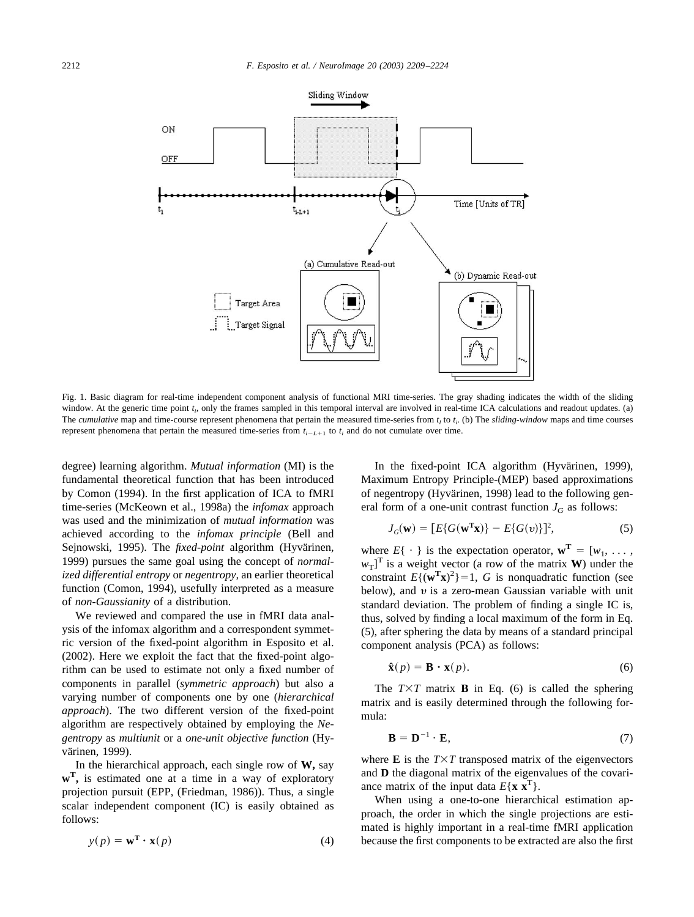<span id="page-4-0"></span>

Fig. 1. Basic diagram for real-time independent component analysis of functional MRI time-series. The gray shading indicates the width of the sliding window. At the generic time point  $t<sub>p</sub>$  only the frames sampled in this temporal interval are involved in real-time ICA calculations and readout updates. (a) The *cumulative* map and time-course represent phenomena that pertain the measured time-series from  $t_i$  to  $t_i$ . (b) The *sliding-window* maps and time courses represent phenomena that pertain the measured time-series from  $t_{i-L+1}$  to  $t_i$  and do not cumulate over time.

degree) learning algorithm. *Mutual information* (MI) is the fundamental theoretical function that has been introduced by [Comon \(1994\).](#page-15-0) In the first application of ICA to fMRI time-series [\(McKeown et al., 1998a\)](#page-16-0) the *infomax* approach was used and the minimization of *mutual information* was achieved according to the *infomax principle* [\(Bell and](#page-15-0) [Sejnowski, 1995\).](#page-15-0) The *fixed-point* algorithm (Hyvärinen, [1999\)](#page-15-0) pursues the same goal using the concept of *normalized differential entropy* or *negentropy,* an earlier theoretical function [\(Comon, 1994\),](#page-15-0) usefully interpreted as a measure of *non-Gaussianity* of a distribution.

We reviewed and compared the use in fMRI data analysis of the infomax algorithm and a correspondent symmetric version of the fixed-point algorithm in [Esposito et al.](#page-15-0) [\(2002\).](#page-15-0) Here we exploit the fact that the fixed-point algorithm can be used to estimate not only a fixed number of components in parallel (*symmetric approach*) but also a varying number of components one by one (*hierarchical approach*). The two different version of the fixed-point algorithm are respectively obtained by employing the *Negentropy* as *multiunit* or a *one-unit objective function* [\(Hy](#page-15-0)värinen, 1999).

In the hierarchical approach, each single row of **W,** say **wT,** is estimated one at a time in a way of exploratory projection pursuit (EPP, [\(Friedman, 1986\)\)](#page-15-0). Thus, a single scalar independent component (IC) is easily obtained as follows:

$$
y(p) = \mathbf{w}^{\mathrm{T}} \cdot \mathbf{x}(p)
$$
 (4)

In the fixed-point ICA algorithm (Hyvärinen, 1999), Maximum Entropy Principle-(MEP) based approximations of negentropy (Hyvärinen, 1998) lead to the following general form of a one-unit contrast function  $J_G$  as follows:

$$
J_G(\mathbf{w}) = [E\{G(\mathbf{w}^T \mathbf{x})\} - E\{G(v)\}]^2, \tag{5}
$$

where  $E\{\cdot\}$  is the expectation operator,  $\mathbf{w}^T = [w_1, \ldots,$  $w_T$ <sup>T</sup> is a weight vector (a row of the matrix **W**) under the constraint  $E\{(\mathbf{w}^T\mathbf{x})^2\} = 1$ , *G* is nonquadratic function (see below), and  $v$  is a zero-mean Gaussian variable with unit standard deviation. The problem of finding a single IC is, thus, solved by finding a local maximum of the form in Eq. (5), after sphering the data by means of a standard principal component analysis (PCA) as follows:

$$
\hat{\mathbf{x}}(p) = \mathbf{B} \cdot \mathbf{x}(p). \tag{6}
$$

The  $T \times T$  matrix **B** in Eq. (6) is called the sphering matrix and is easily determined through the following formula:

$$
\mathbf{B} = \mathbf{D}^{-1} \cdot \mathbf{E},\tag{7}
$$

where **E** is the  $T \times T$  transposed matrix of the eigenvectors and **D** the diagonal matrix of the eigenvalues of the covariance matrix of the input data  $E\{\mathbf{x} \mathbf{x}^{\text{T}}\}$ .

When using a one-to-one hierarchical estimation approach, the order in which the single projections are estimated is highly important in a real-time fMRI application because the first components to be extracted are also the first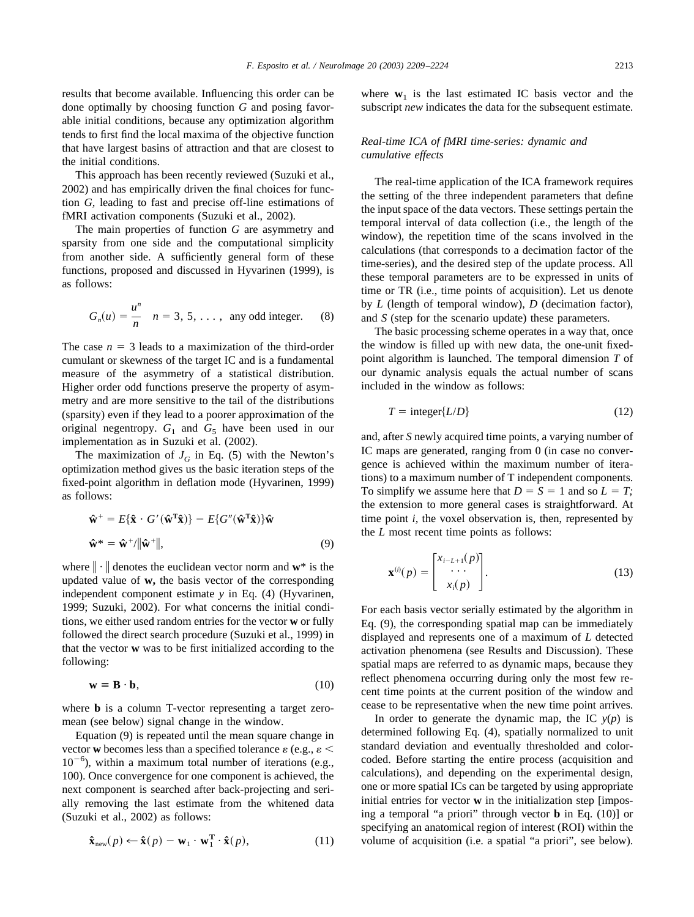results that become available. Influencing this order can be done optimally by choosing function *G* and posing favorable initial conditions, because any optimization algorithm tends to first find the local maxima of the objective function that have largest basins of attraction and that are closest to the initial conditions.

This approach has been recently reviewed [\(Suzuki et al.,](#page-16-0) [2002\)](#page-16-0) and has empirically driven the final choices for function *G,* leading to fast and precise off-line estimations of fMRI activation components [\(Suzuki et al., 2002\).](#page-16-0)

The main properties of function *G* are asymmetry and sparsity from one side and the computational simplicity from another side. A sufficiently general form of these functions, proposed and discussed in [Hyvarinen \(1999\),](#page-15-0) is as follows:

$$
G_n(u) = \frac{u^n}{n} \quad n = 3, 5, \ldots, \text{ any odd integer.} \tag{8}
$$

The case  $n = 3$  leads to a maximization of the third-order cumulant or skewness of the target IC and is a fundamental measure of the asymmetry of a statistical distribution. Higher order odd functions preserve the property of asymmetry and are more sensitive to the tail of the distributions (sparsity) even if they lead to a poorer approximation of the original negentropy.  $G_1$  and  $G_5$  have been used in our implementation as in [Suzuki et al. \(2002\).](#page-16-0)

The maximization of  $J_G$  in Eq. (5) with the Newton's optimization method gives us the basic iteration steps of the fixed-point algorithm in deflation mode [\(Hyvarinen, 1999\)](#page-15-0) as follows:

$$
\hat{\mathbf{w}}^+ = E\{\hat{\mathbf{x}} \cdot G'(\hat{\mathbf{w}}^T \hat{\mathbf{x}})\} - E\{G''(\hat{\mathbf{w}}^T \hat{\mathbf{x}})\}\hat{\mathbf{w}}
$$
  

$$
\hat{\mathbf{w}}^* = \hat{\mathbf{w}}^+ / ||\hat{\mathbf{w}}^+||,
$$
 (9)

where  $\|\cdot\|$  denotes the euclidean vector norm and  $w^*$  is the updated value of **w,** the basis vector of the corresponding independent component estimate *y* in Eq. (4) [\(Hyvarinen,](#page-15-0) [1999; Suzuki, 2002\).](#page-15-0) For what concerns the initial conditions, we either used random entries for the vector **w** or fully followed the direct search procedure (Suzuki et al., 1999) in that the vector **w** was to be first initialized according to the following:

$$
\mathbf{w} = \mathbf{B} \cdot \mathbf{b},\tag{10}
$$

where **b** is a column T-vector representing a target zeromean (see below) signal change in the window.

Equation (9) is repeated until the mean square change in vector **w** becomes less than a specified tolerance  $\varepsilon$  (e.g.,  $\varepsilon$  <  $10^{-6}$ ), within a maximum total number of iterations (e.g., 100). Once convergence for one component is achieved, the next component is searched after back-projecting and serially removing the last estimate from the whitened data [\(Suzuki et al., 2002\)](#page-16-0) as follows:

$$
\hat{\mathbf{x}}_{\text{new}}(p) \leftarrow \hat{\mathbf{x}}(p) - \mathbf{w}_1 \cdot \mathbf{w}_1^{\mathbf{T}} \cdot \hat{\mathbf{x}}(p),
$$
 (11)

where  $w_1$  is the last estimated IC basis vector and the subscript *new* indicates the data for the subsequent estimate.

# *Real-time ICA of fMRI time-series: dynamic and cumulative effects*

The real-time application of the ICA framework requires the setting of the three independent parameters that define the input space of the data vectors. These settings pertain the temporal interval of data collection (i.e., the length of the window), the repetition time of the scans involved in the calculations (that corresponds to a decimation factor of the time-series), and the desired step of the update process. All these temporal parameters are to be expressed in units of time or TR (i.e., time points of acquisition). Let us denote by *L* (length of temporal window), *D* (decimation factor), and *S* (step for the scenario update) these parameters.

The basic processing scheme operates in a way that, once the window is filled up with new data, the one-unit fixedpoint algorithm is launched. The temporal dimension *T* of our dynamic analysis equals the actual number of scans included in the window as follows:

$$
T = \text{integer}\{L/D\} \tag{12}
$$

and, after *S* newly acquired time points, a varying number of IC maps are generated, ranging from 0 (in case no convergence is achieved within the maximum number of iterations) to a maximum number of T independent components. To simplify we assume here that  $D = S = 1$  and so  $L = T$ ; the extension to more general cases is straightforward. At time point *i,* the voxel observation is, then, represented by the *L* most recent time points as follows:

$$
\mathbf{x}^{(i)}(p) = \begin{bmatrix} x_{i-L+1}(p) \\ \cdots \\ x_i(p) \end{bmatrix} . \tag{13}
$$

For each basis vector serially estimated by the algorithm in Eq. (9), the corresponding spatial map can be immediately displayed and represents one of a maximum of *L* detected activation phenomena (see Results and Discussion). These spatial maps are referred to as dynamic maps, because they reflect phenomena occurring during only the most few recent time points at the current position of the window and cease to be representative when the new time point arrives.

In order to generate the dynamic map, the IC  $y(p)$  is determined following Eq. (4), spatially normalized to unit standard deviation and eventually thresholded and colorcoded. Before starting the entire process (acquisition and calculations), and depending on the experimental design, one or more spatial ICs can be targeted by using appropriate initial entries for vector **w** in the initialization step [imposing a temporal "a priori" through vector **b** in Eq. (10)] or specifying an anatomical region of interest (ROI) within the volume of acquisition (i.e. a spatial "a priori", see below).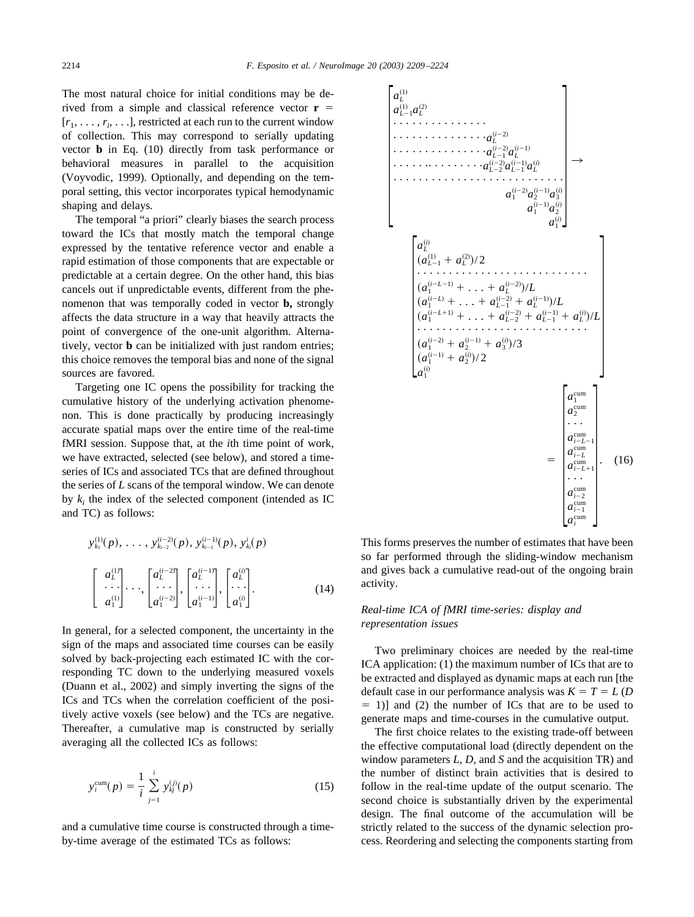The most natural choice for initial conditions may be derived from a simple and classical reference vector  $\mathbf{r} =$  $[r_1, \ldots, r_i, \ldots]$ , restricted at each run to the current window of collection. This may correspond to serially updating vector **b** in Eq. (10) directly from task performance or behavioral measures in parallel to the acquisition [\(Voyvodic, 1999\).](#page-16-0) Optionally, and depending on the temporal setting, this vector incorporates typical hemodynamic shaping and delays.

The temporal "a priori" clearly biases the search process toward the ICs that mostly match the temporal change expressed by the tentative reference vector and enable a rapid estimation of those components that are expectable or predictable at a certain degree. On the other hand, this bias cancels out if unpredictable events, different from the phenomenon that was temporally coded in vector **b,** strongly affects the data structure in a way that heavily attracts the point of convergence of the one-unit algorithm. Alternatively, vector **b** can be initialized with just random entries; this choice removes the temporal bias and none of the signal sources are favored.

Targeting one IC opens the possibility for tracking the cumulative history of the underlying activation phenomenon. This is done practically by producing increasingly accurate spatial maps over the entire time of the real-time fMRI session. Suppose that, at the *i*th time point of work, we have extracted, selected (see below), and stored a timeseries of ICs and associated TCs that are defined throughout the series of *L* scans of the temporal window. We can denote by  $k_i$  the index of the selected component (intended as IC and TC) as follows:

$$
y_{k_1}^{(1)}(p), \ldots, y_{k_{l-2}}^{(i-2)}(p), y_{k_{l-1}}^{(i-1)}(p), y_{k_l}^i(p)
$$
\n
$$
\begin{bmatrix} a_1^{(1)} \\ \cdots \\ a_1^{(1)} \end{bmatrix}, \ldots, \begin{bmatrix} a_1^{(i-2)} \\ \cdots \\ a_1^{(i-2)} \end{bmatrix}, \begin{bmatrix} a_1^{(i-1)} \\ \cdots \\ a_1^{(i-1)} \end{bmatrix}, \begin{bmatrix} a_1^{(i)} \\ \cdots \\ a_1^{(i)} \end{bmatrix}.
$$
\n
$$
(14)
$$

In general, for a selected component, the uncertainty in the sign of the maps and associated time courses can be easily solved by back-projecting each estimated IC with the corresponding TC down to the underlying measured voxels [\(Duann et al., 2002\)](#page-15-0) and simply inverting the signs of the ICs and TCs when the correlation coefficient of the positively active voxels (see below) and the TCs are negative. Thereafter, a cumulative map is constructed by serially averaging all the collected ICs as follows:

$$
y_i^{\text{cum}}(p) = \frac{1}{i} \sum_{j=1}^i y_{kj}^{(j)}(p) \tag{15}
$$

and a cumulative time course is constructed through a timeby-time average of the estimated TCs as follows:



This forms preserves the number of estimates that have been so far performed through the sliding-window mechanism and gives back a cumulative read-out of the ongoing brain activity.

## *Real-time ICA of fMRI time-series: display and representation issues*

Two preliminary choices are needed by the real-time ICA application: (1) the maximum number of ICs that are to be extracted and displayed as dynamic maps at each run [the default case in our performance analysis was  $K = T = L(D)$  $= 1$ ] and (2) the number of ICs that are to be used to generate maps and time-courses in the cumulative output.

The first choice relates to the existing trade-off between the effective computational load (directly dependent on the window parameters *L, D,* and *S* and the acquisition TR) and the number of distinct brain activities that is desired to follow in the real-time update of the output scenario. The second choice is substantially driven by the experimental design. The final outcome of the accumulation will be strictly related to the success of the dynamic selection process. Reordering and selecting the components starting from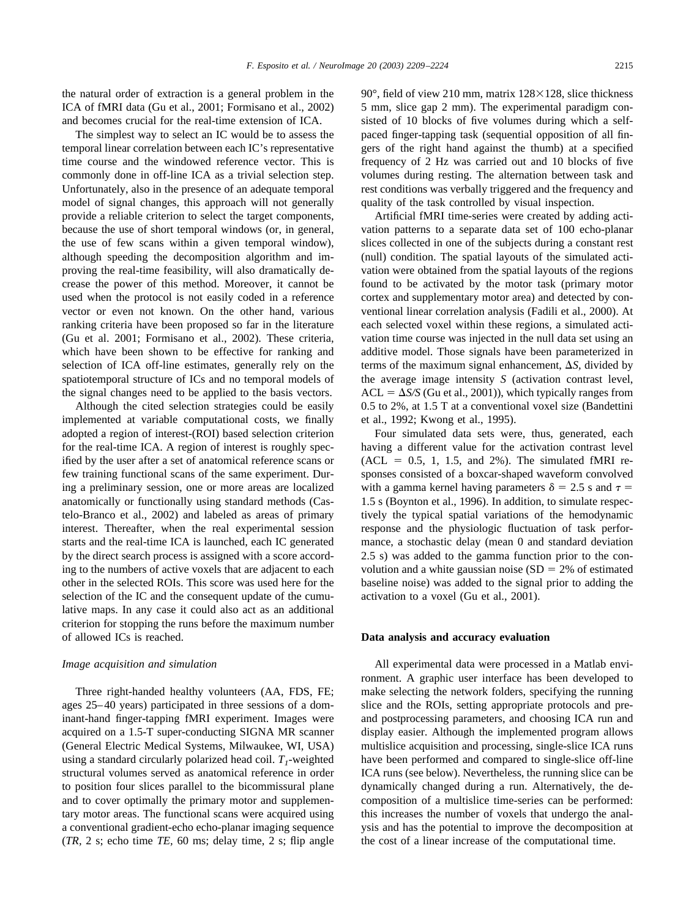the natural order of extraction is a general problem in the ICA of fMRI data [\(Gu et al., 2001; Formisano et al., 2002\)](#page-15-0) and becomes crucial for the real-time extension of ICA.

The simplest way to select an IC would be to assess the temporal linear correlation between each IC's representative time course and the windowed reference vector. This is commonly done in off-line ICA as a trivial selection step. Unfortunately, also in the presence of an adequate temporal model of signal changes, this approach will not generally provide a reliable criterion to select the target components, because the use of short temporal windows (or, in general, the use of few scans within a given temporal window), although speeding the decomposition algorithm and improving the real-time feasibility, will also dramatically decrease the power of this method. Moreover, it cannot be used when the protocol is not easily coded in a reference vector or even not known. On the other hand, various ranking criteria have been proposed so far in the literature [\(Gu et al. 2001; Formisano et al., 2002\).](#page-15-0) These criteria, which have been shown to be effective for ranking and selection of ICA off-line estimates, generally rely on the spatiotemporal structure of ICs and no temporal models of the signal changes need to be applied to the basis vectors.

Although the cited selection strategies could be easily implemented at variable computational costs, we finally adopted a region of interest-(ROI) based selection criterion for the real-time ICA. A region of interest is roughly specified by the user after a set of anatomical reference scans or few training functional scans of the same experiment. During a preliminary session, one or more areas are localized anatomically or functionally using standard methods [\(Cas](#page-15-0)[telo-Branco et al., 2002\)](#page-15-0) and labeled as areas of primary interest. Thereafter, when the real experimental session starts and the real-time ICA is launched, each IC generated by the direct search process is assigned with a score according to the numbers of active voxels that are adjacent to each other in the selected ROIs. This score was used here for the selection of the IC and the consequent update of the cumulative maps. In any case it could also act as an additional criterion for stopping the runs before the maximum number of allowed ICs is reached.

## *Image acquisition and simulation*

Three right-handed healthy volunteers (AA, FDS, FE; ages 25–40 years) participated in three sessions of a dominant-hand finger-tapping fMRI experiment. Images were acquired on a 1.5-T super-conducting SIGNA MR scanner (General Electric Medical Systems, Milwaukee, WI, USA) using a standard circularly polarized head coil.  $T<sub>1</sub>$ -weighted structural volumes served as anatomical reference in order to position four slices parallel to the bicommissural plane and to cover optimally the primary motor and supplementary motor areas. The functional scans were acquired using a conventional gradient-echo echo-planar imaging sequence (*TR,* 2 s; echo time *TE,* 60 ms; delay time, 2 s; flip angle 90 $^{\circ}$ , field of view 210 mm, matrix 128 $\times$ 128, slice thickness 5 mm, slice gap 2 mm). The experimental paradigm consisted of 10 blocks of five volumes during which a selfpaced finger-tapping task (sequential opposition of all fingers of the right hand against the thumb) at a specified frequency of 2 Hz was carried out and 10 blocks of five volumes during resting. The alternation between task and rest conditions was verbally triggered and the frequency and quality of the task controlled by visual inspection.

Artificial fMRI time-series were created by adding activation patterns to a separate data set of 100 echo-planar slices collected in one of the subjects during a constant rest (null) condition. The spatial layouts of the simulated activation were obtained from the spatial layouts of the regions found to be activated by the motor task (primary motor cortex and supplementary motor area) and detected by conventional linear correlation analysis [\(Fadili et al., 2000\).](#page-15-0) At each selected voxel within these regions, a simulated activation time course was injected in the null data set using an additive model. Those signals have been parameterized in terms of the maximum signal enhancement,  $\Delta S$ , divided by the average image intensity *S* (activation contrast level,  $ACL = \Delta S/S$  [\(Gu et al., 2001\)\)](#page-15-0), which typically ranges from 0.5 to 2%, at 1.5 T at a conventional voxel size [\(Bandettini](#page-15-0) [et al., 1992; Kwong et al., 1995\).](#page-15-0)

Four simulated data sets were, thus, generated, each having a different value for the activation contrast level  $(ACL = 0.5, 1, 1.5, and 2\%)$ . The simulated fMRI responses consisted of a boxcar-shaped waveform convolved with a gamma kernel having parameters  $\delta = 2.5$  s and  $\tau =$ 1.5 s (Boynton et al., 1996). In addition, to simulate respectively the typical spatial variations of the hemodynamic response and the physiologic fluctuation of task performance, a stochastic delay (mean 0 and standard deviation 2.5 s) was added to the gamma function prior to the convolution and a white gaussian noise  $(SD = 2\%$  of estimated baseline noise) was added to the signal prior to adding the activation to a voxel [\(Gu et al., 2001\).](#page-15-0)

### **Data analysis and accuracy evaluation**

All experimental data were processed in a Matlab environment. A graphic user interface has been developed to make selecting the network folders, specifying the running slice and the ROIs, setting appropriate protocols and preand postprocessing parameters, and choosing ICA run and display easier. Although the implemented program allows multislice acquisition and processing, single-slice ICA runs have been performed and compared to single-slice off-line ICA runs (see below). Nevertheless, the running slice can be dynamically changed during a run. Alternatively, the decomposition of a multislice time-series can be performed: this increases the number of voxels that undergo the analysis and has the potential to improve the decomposition at the cost of a linear increase of the computational time.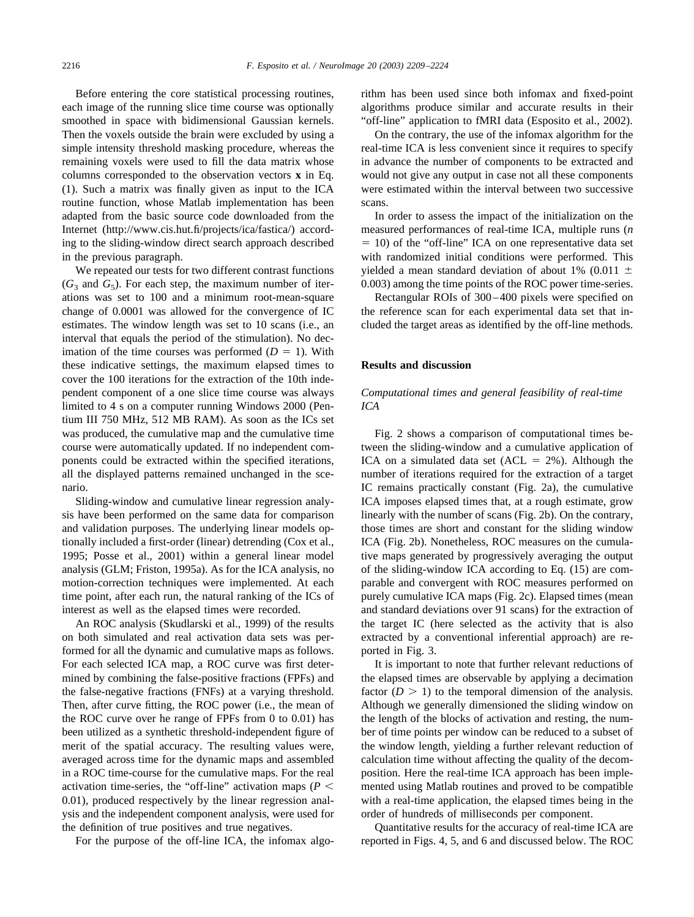Before entering the core statistical processing routines, each image of the running slice time course was optionally smoothed in space with bidimensional Gaussian kernels. Then the voxels outside the brain were excluded by using a simple intensity threshold masking procedure, whereas the remaining voxels were used to fill the data matrix whose columns corresponded to the observation vectors **x** in Eq. (1). Such a matrix was finally given as input to the ICA routine function, whose Matlab implementation has been adapted from the basic source code downloaded from the Internet [\(http://www.cis.hut.fi/projects/ica/fastica/\)](http://www.cis.hut.fi/projects/ica/fastica/) according to the sliding-window direct search approach described in the previous paragraph.

We repeated our tests for two different contrast functions  $(G_3 \text{ and } G_5)$ . For each step, the maximum number of iterations was set to 100 and a minimum root-mean-square change of 0.0001 was allowed for the convergence of IC estimates. The window length was set to 10 scans (i.e., an interval that equals the period of the stimulation). No decimation of the time courses was performed  $(D = 1)$ . With these indicative settings, the maximum elapsed times to cover the 100 iterations for the extraction of the 10th independent component of a one slice time course was always limited to 4 s on a computer running Windows 2000 (Pentium III 750 MHz, 512 MB RAM). As soon as the ICs set was produced, the cumulative map and the cumulative time course were automatically updated. If no independent components could be extracted within the specified iterations, all the displayed patterns remained unchanged in the scenario.

Sliding-window and cumulative linear regression analysis have been performed on the same data for comparison and validation purposes. The underlying linear models optionally included a first-order (linear) detrending [\(Cox et al.,](#page-15-0) [1995; Posse et al., 2001\)](#page-15-0) within a general linear model analysis (GLM; [Friston, 1995a\).](#page-15-0) As for the ICA analysis, no motion-correction techniques were implemented. At each time point, after each run, the natural ranking of the ICs of interest as well as the elapsed times were recorded.

An ROC analysis [\(Skudlarski et al., 1999\)](#page-16-0) of the results on both simulated and real activation data sets was performed for all the dynamic and cumulative maps as follows. For each selected ICA map, a ROC curve was first determined by combining the false-positive fractions (FPFs) and the false-negative fractions (FNFs) at a varying threshold. Then, after curve fitting, the ROC power (i.e., the mean of the ROC curve over he range of FPFs from 0 to 0.01) has been utilized as a synthetic threshold-independent figure of merit of the spatial accuracy. The resulting values were, averaged across time for the dynamic maps and assembled in a ROC time-course for the cumulative maps. For the real activation time-series, the "off-line" activation maps (*P* 0.01), produced respectively by the linear regression analysis and the independent component analysis, were used for the definition of true positives and true negatives.

For the purpose of the off-line ICA, the infomax algo-

rithm has been used since both infomax and fixed-point algorithms produce similar and accurate results in their "off-line" application to fMRI data [\(Esposito et al., 2002\).](#page-15-0)

On the contrary, the use of the infomax algorithm for the real-time ICA is less convenient since it requires to specify in advance the number of components to be extracted and would not give any output in case not all these components were estimated within the interval between two successive scans.

In order to assess the impact of the initialization on the measured performances of real-time ICA, multiple runs (*n*  $= 10$ ) of the "off-line" ICA on one representative data set with randomized initial conditions were performed. This yielded a mean standard deviation of about 1% (0.011  $\pm$ 0.003) among the time points of the ROC power time-series.

Rectangular ROIs of 300–400 pixels were specified on the reference scan for each experimental data set that included the target areas as identified by the off-line methods.

## **Results and discussion**

## *Computational times and general feasibility of real-time ICA*

[Fig. 2](#page-9-0) shows a comparison of computational times between the sliding-window and a cumulative application of ICA on a simulated data set ( $ACL = 2\%$ ). Although the number of iterations required for the extraction of a target IC remains practically constant [\(Fig. 2a\)](#page-9-0), the cumulative ICA imposes elapsed times that, at a rough estimate, grow linearly with the number of scans [\(Fig. 2b\)](#page-9-0). On the contrary, those times are short and constant for the sliding window ICA [\(Fig. 2b\)](#page-9-0). Nonetheless, ROC measures on the cumulative maps generated by progressively averaging the output of the sliding-window ICA according to Eq. (15) are comparable and convergent with ROC measures performed on purely cumulative ICA maps [\(Fig. 2c\)](#page-9-0). Elapsed times (mean and standard deviations over 91 scans) for the extraction of the target IC (here selected as the activity that is also extracted by a conventional inferential approach) are reported in [Fig. 3.](#page-10-0)

It is important to note that further relevant reductions of the elapsed times are observable by applying a decimation factor  $(D > 1)$  to the temporal dimension of the analysis. Although we generally dimensioned the sliding window on the length of the blocks of activation and resting, the number of time points per window can be reduced to a subset of the window length, yielding a further relevant reduction of calculation time without affecting the quality of the decomposition. Here the real-time ICA approach has been implemented using Matlab routines and proved to be compatible with a real-time application, the elapsed times being in the order of hundreds of milliseconds per component.

Quantitative results for the accuracy of real-time ICA are reported in [Figs. 4,](#page-11-0) [5,](#page-12-0) and [6](#page-12-0) and discussed below. The ROC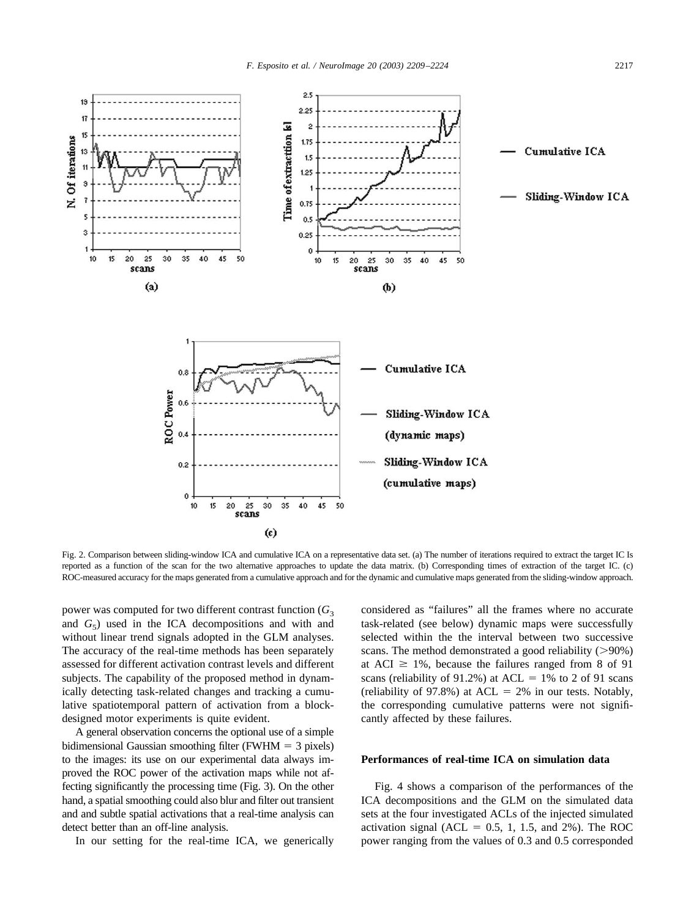<span id="page-9-0"></span>

Fig. 2. Comparison between sliding-window ICA and cumulative ICA on a representative data set. (a) The number of iterations required to extract the target IC Is reported as a function of the scan for the two alternative approaches to update the data matrix. (b) Corresponding times of extraction of the target IC. (c) ROC-measured accuracy for the maps generated from a cumulative approach and for the dynamic and cumulative maps generated from the sliding-window approach.

power was computed for two different contrast function  $(G_3)$ and  $G_5$ ) used in the ICA decompositions and with and without linear trend signals adopted in the GLM analyses. The accuracy of the real-time methods has been separately assessed for different activation contrast levels and different subjects. The capability of the proposed method in dynamically detecting task-related changes and tracking a cumulative spatiotemporal pattern of activation from a blockdesigned motor experiments is quite evident.

A general observation concerns the optional use of a simple bidimensional Gaussian smoothing filter (FWHM  $=$  3 pixels) to the images: its use on our experimental data always improved the ROC power of the activation maps while not affecting significantly the processing time [\(Fig. 3\)](#page-10-0). On the other hand, a spatial smoothing could also blur and filter out transient and and subtle spatial activations that a real-time analysis can detect better than an off-line analysis.

In our setting for the real-time ICA, we generically

considered as "failures" all the frames where no accurate task-related (see below) dynamic maps were successfully selected within the the interval between two successive scans. The method demonstrated a good reliability  $(>\!\!>90\%)$ at ACI  $\geq$  1%, because the failures ranged from 8 of 91 scans (reliability of 91.2%) at ACL  $= 1\%$  to 2 of 91 scans (reliability of 97.8%) at ACL  $= 2\%$  in our tests. Notably, the corresponding cumulative patterns were not significantly affected by these failures.

## **Performances of real-time ICA on simulation data**

[Fig. 4](#page-11-0) shows a comparison of the performances of the ICA decompositions and the GLM on the simulated data sets at the four investigated ACLs of the injected simulated activation signal (ACL =  $0.5$ , 1, 1.5, and 2%). The ROC power ranging from the values of 0.3 and 0.5 corresponded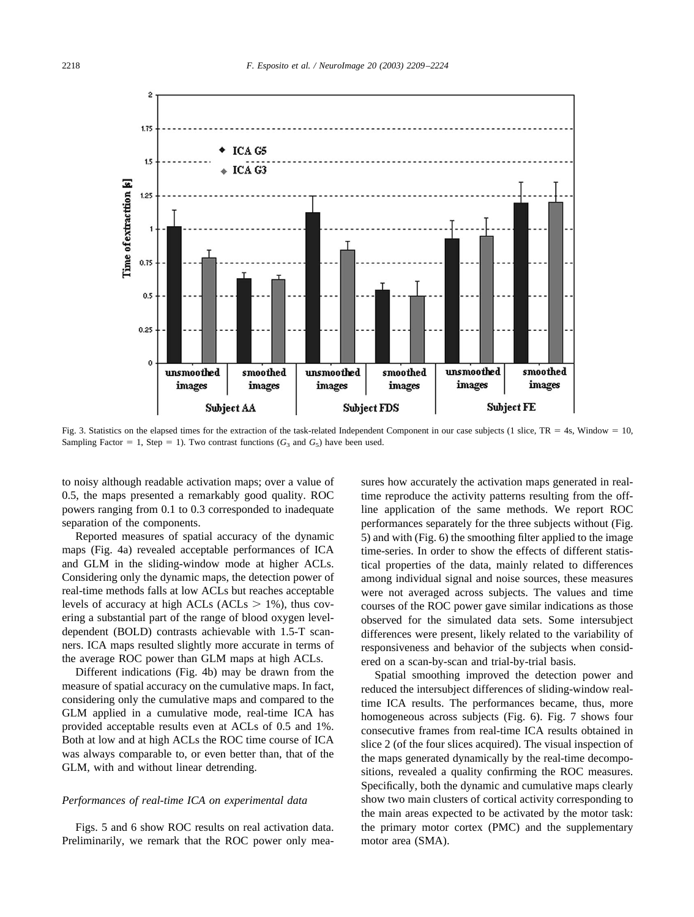<span id="page-10-0"></span>

Fig. 3. Statistics on the elapsed times for the extraction of the task-related Independent Component in our case subjects (1 slice,  $TR = 4s$ , Window = 10, Sampling Factor = 1, Step = 1). Two contrast functions ( $G_3$  and  $G_5$ ) have been used.

to noisy although readable activation maps; over a value of 0.5, the maps presented a remarkably good quality. ROC powers ranging from 0.1 to 0.3 corresponded to inadequate separation of the components.

Reported measures of spatial accuracy of the dynamic maps [\(Fig. 4a\)](#page-11-0) revealed acceptable performances of ICA and GLM in the sliding-window mode at higher ACLs. Considering only the dynamic maps, the detection power of real-time methods falls at low ACLs but reaches acceptable levels of accuracy at high ACLs (ACLs  $> 1\%$ ), thus covering a substantial part of the range of blood oxygen leveldependent (BOLD) contrasts achievable with 1.5-T scanners. ICA maps resulted slightly more accurate in terms of the average ROC power than GLM maps at high ACLs.

Different indications [\(Fig. 4b\)](#page-11-0) may be drawn from the measure of spatial accuracy on the cumulative maps. In fact, considering only the cumulative maps and compared to the GLM applied in a cumulative mode, real-time ICA has provided acceptable results even at ACLs of 0.5 and 1%. Both at low and at high ACLs the ROC time course of ICA was always comparable to, or even better than, that of the GLM, with and without linear detrending.

#### *Performances of real-time ICA on experimental data*

[Figs. 5](#page-12-0) and [6](#page-12-0) show ROC results on real activation data. Preliminarily, we remark that the ROC power only measures how accurately the activation maps generated in realtime reproduce the activity patterns resulting from the offline application of the same methods. We report ROC performances separately for the three subjects without [\(Fig.](#page-12-0) [5\)](#page-12-0) and with [\(Fig. 6\)](#page-12-0) the smoothing filter applied to the image time-series. In order to show the effects of different statistical properties of the data, mainly related to differences among individual signal and noise sources, these measures were not averaged across subjects. The values and time courses of the ROC power gave similar indications as those observed for the simulated data sets. Some intersubject differences were present, likely related to the variability of responsiveness and behavior of the subjects when considered on a scan-by-scan and trial-by-trial basis.

Spatial smoothing improved the detection power and reduced the intersubject differences of sliding-window realtime ICA results. The performances became, thus, more homogeneous across subjects [\(Fig. 6\)](#page-12-0). [Fig. 7](#page-13-0) shows four consecutive frames from real-time ICA results obtained in slice 2 (of the four slices acquired). The visual inspection of the maps generated dynamically by the real-time decompositions, revealed a quality confirming the ROC measures. Specifically, both the dynamic and cumulative maps clearly show two main clusters of cortical activity corresponding to the main areas expected to be activated by the motor task: the primary motor cortex (PMC) and the supplementary motor area (SMA).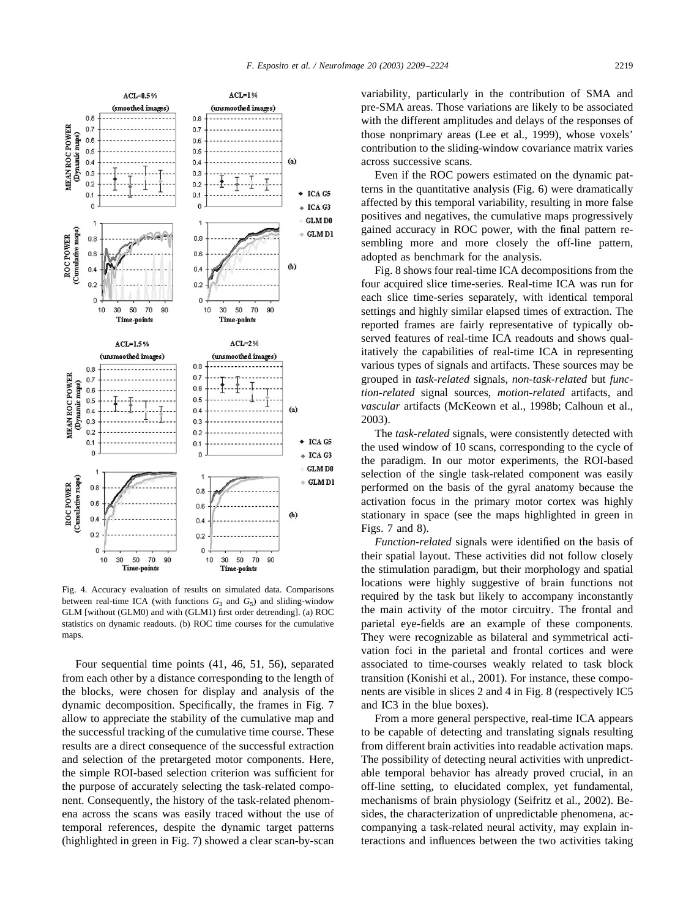<span id="page-11-0"></span>

Fig. 4. Accuracy evaluation of results on simulated data. Comparisons between real-time ICA (with functions  $G_3$  and  $G_5$ ) and sliding-window GLM [without (GLM0) and with (GLM1) first order detrending]. (a) ROC statistics on dynamic readouts. (b) ROC time courses for the cumulative maps.

Four sequential time points (41, 46, 51, 56), separated from each other by a distance corresponding to the length of the blocks, were chosen for display and analysis of the dynamic decomposition. Specifically, the frames in [Fig. 7](#page-13-0) allow to appreciate the stability of the cumulative map and the successful tracking of the cumulative time course. These results are a direct consequence of the successful extraction and selection of the pretargeted motor components. Here, the simple ROI-based selection criterion was sufficient for the purpose of accurately selecting the task-related component. Consequently, the history of the task-related phenomena across the scans was easily traced without the use of temporal references, despite the dynamic target patterns (highlighted in green in [Fig. 7\)](#page-13-0) showed a clear scan-by-scan

variability, particularly in the contribution of SMA and pre-SMA areas. Those variations are likely to be associated with the different amplitudes and delays of the responses of those nonprimary areas [\(Lee et al., 1999\),](#page-16-0) whose voxels' contribution to the sliding-window covariance matrix varies across successive scans.

Even if the ROC powers estimated on the dynamic patterns in the quantitative analysis [\(Fig. 6\)](#page-12-0) were dramatically affected by this temporal variability, resulting in more false positives and negatives, the cumulative maps progressively gained accuracy in ROC power, with the final pattern resembling more and more closely the off-line pattern, adopted as benchmark for the analysis.

[Fig. 8](#page-14-0) shows four real-time ICA decompositions from the four acquired slice time-series. Real-time ICA was run for each slice time-series separately, with identical temporal settings and highly similar elapsed times of extraction. The reported frames are fairly representative of typically observed features of real-time ICA readouts and shows qualitatively the capabilities of real-time ICA in representing various types of signals and artifacts. These sources may be grouped in *task-related* signals, *non-task-related* but *function-related* signal sources, *motion-related* artifacts, and *vascular* artifacts [\(McKeown et al., 1998b; Calhoun et al.,](#page-16-0) [2003\).](#page-16-0)

The *task-related* signals, were consistently detected with the used window of 10 scans, corresponding to the cycle of the paradigm. In our motor experiments, the ROI-based selection of the single task-related component was easily performed on the basis of the gyral anatomy because the activation focus in the primary motor cortex was highly stationary in space (see the maps highlighted in green in [Figs. 7](#page-13-0) and [8\)](#page-14-0).

*Function-related* signals were identified on the basis of their spatial layout. These activities did not follow closely the stimulation paradigm, but their morphology and spatial locations were highly suggestive of brain functions not required by the task but likely to accompany inconstantly the main activity of the motor circuitry. The frontal and parietal eye-fields are an example of these components. They were recognizable as bilateral and symmetrical activation foci in the parietal and frontal cortices and were associated to time-courses weakly related to task block transition [\(Konishi et al., 2001\).](#page-15-0) For instance, these components are visible in slices 2 and 4 in [Fig. 8](#page-14-0) (respectively IC5 and IC3 in the blue boxes).

From a more general perspective, real-time ICA appears to be capable of detecting and translating signals resulting from different brain activities into readable activation maps. The possibility of detecting neural activities with unpredictable temporal behavior has already proved crucial, in an off-line setting, to elucidated complex, yet fundamental, mechanisms of brain physiology [\(Seifritz et al., 2002\).](#page-16-0) Besides, the characterization of unpredictable phenomena, accompanying a task-related neural activity, may explain interactions and influences between the two activities taking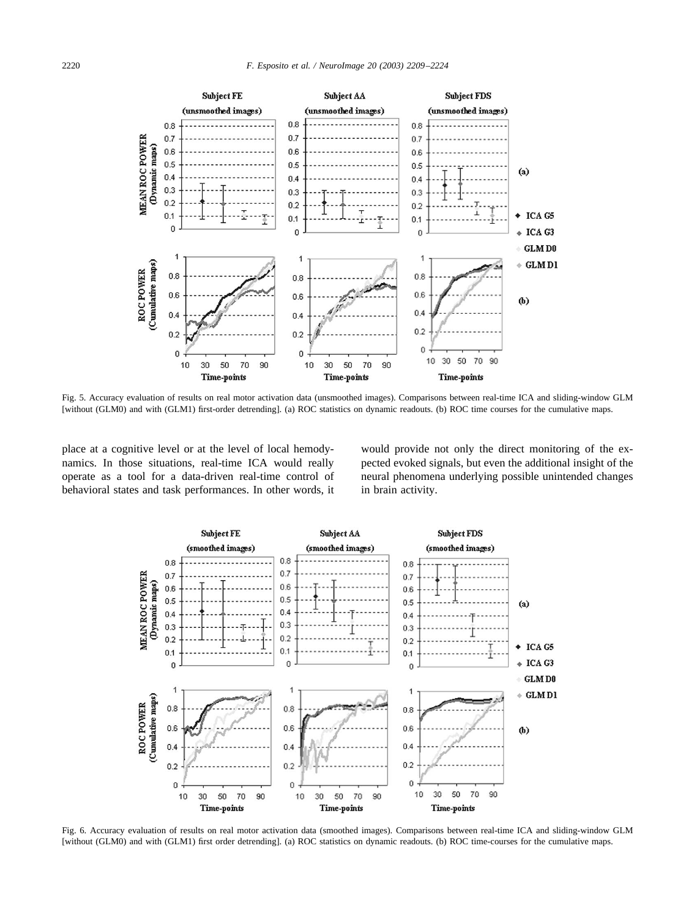<span id="page-12-0"></span>

Fig. 5. Accuracy evaluation of results on real motor activation data (unsmoothed images). Comparisons between real-time ICA and sliding-window GLM [without (GLM0) and with (GLM1) first-order detrending]. (a) ROC statistics on dynamic readouts. (b) ROC time courses for the cumulative maps.

place at a cognitive level or at the level of local hemodynamics. In those situations, real-time ICA would really operate as a tool for a data-driven real-time control of behavioral states and task performances. In other words, it would provide not only the direct monitoring of the expected evoked signals, but even the additional insight of the neural phenomena underlying possible unintended changes in brain activity.



Fig. 6. Accuracy evaluation of results on real motor activation data (smoothed images). Comparisons between real-time ICA and sliding-window GLM [without (GLM0) and with (GLM1) first order detrending]. (a) ROC statistics on dynamic readouts. (b) ROC time-courses for the cumulative maps.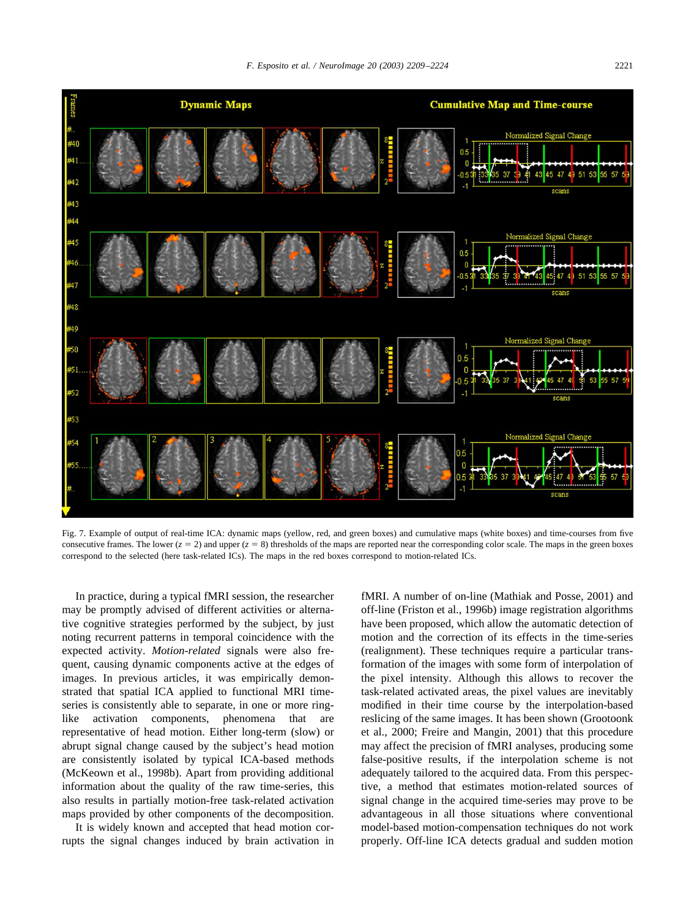<span id="page-13-0"></span>

Fig. 7. Example of output of real-time ICA: dynamic maps (yellow, red, and green boxes) and cumulative maps (white boxes) and time-courses from five consecutive frames. The lower  $(z = 2)$  and upper  $(z = 8)$  thresholds of the maps are reported near the corresponding color scale. The maps in the green boxes correspond to the selected (here task-related ICs). The maps in the red boxes correspond to motion-related ICs.

In practice, during a typical fMRI session, the researcher may be promptly advised of different activities or alternative cognitive strategies performed by the subject, by just noting recurrent patterns in temporal coincidence with the expected activity. *Motion-related* signals were also frequent, causing dynamic components active at the edges of images. In previous articles, it was empirically demonstrated that spatial ICA applied to functional MRI timeseries is consistently able to separate, in one or more ringlike activation components, phenomena that are representative of head motion. Either long-term (slow) or abrupt signal change caused by the subject's head motion are consistently isolated by typical ICA-based methods [\(McKeown et al., 1998b\).](#page-16-0) Apart from providing additional information about the quality of the raw time-series, this also results in partially motion-free task-related activation maps provided by other components of the decomposition.

It is widely known and accepted that head motion corrupts the signal changes induced by brain activation in fMRI. A number of on-line [\(Mathiak and Posse, 2001\)](#page-16-0) and off-line [\(Friston et al., 1996b\)](#page-15-0) image registration algorithms have been proposed, which allow the automatic detection of motion and the correction of its effects in the time-series (realignment). These techniques require a particular transformation of the images with some form of interpolation of the pixel intensity. Although this allows to recover the task-related activated areas, the pixel values are inevitably modified in their time course by the interpolation-based reslicing of the same images. It has been shown [\(Grootoonk](#page-15-0) [et al., 2000; Freire and Mangin, 2001\)](#page-15-0) that this procedure may affect the precision of fMRI analyses, producing some false-positive results, if the interpolation scheme is not adequately tailored to the acquired data. From this perspective, a method that estimates motion-related sources of signal change in the acquired time-series may prove to be advantageous in all those situations where conventional model-based motion-compensation techniques do not work properly. Off-line ICA detects gradual and sudden motion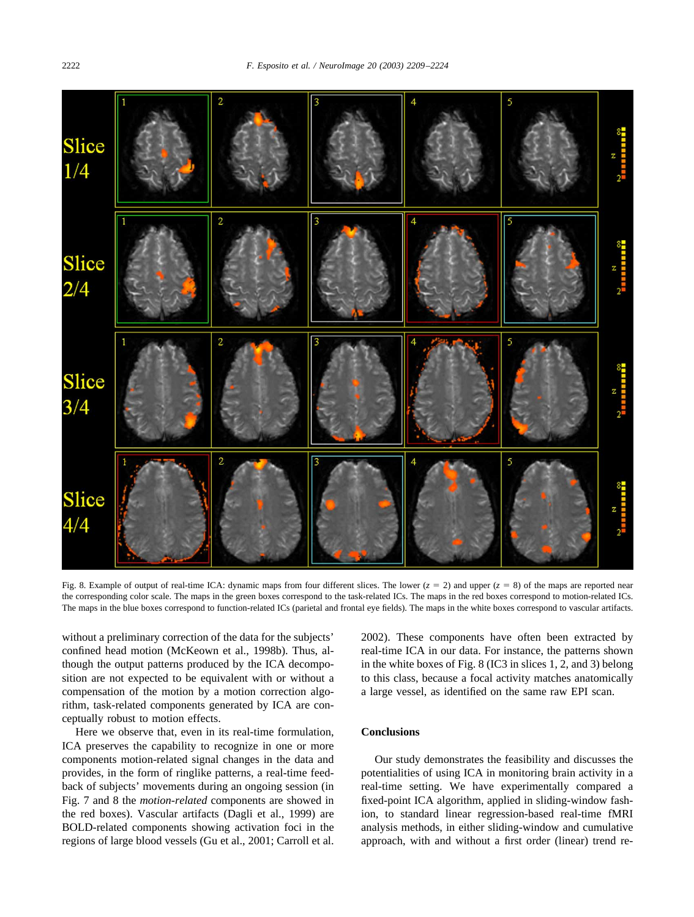<span id="page-14-0"></span>

Fig. 8. Example of output of real-time ICA: dynamic maps from four different slices. The lower  $(z = 2)$  and upper  $(z = 8)$  of the maps are reported near the corresponding color scale. The maps in the green boxes correspond to the task-related ICs. The maps in the red boxes correspond to motion-related ICs. The maps in the blue boxes correspond to function-related ICs (parietal and frontal eye fields). The maps in the white boxes correspond to vascular artifacts.

without a preliminary correction of the data for the subjects' confined head motion [\(McKeown et al., 1998b\).](#page-16-0) Thus, although the output patterns produced by the ICA decomposition are not expected to be equivalent with or without a compensation of the motion by a motion correction algorithm, task-related components generated by ICA are conceptually robust to motion effects.

Here we observe that, even in its real-time formulation, ICA preserves the capability to recognize in one or more components motion-related signal changes in the data and provides, in the form of ringlike patterns, a real-time feedback of subjects' movements during an ongoing session (in [Fig. 7 and 8](#page-13-0) the *motion-related* components are showed in the red boxes). Vascular artifacts [\(Dagli et al., 1999\)](#page-15-0) are BOLD-related components showing activation foci in the regions of large blood vessels [\(Gu et al., 2001; Carroll et al.](#page-15-0)

[2002\).](#page-15-0) These components have often been extracted by real-time ICA in our data. For instance, the patterns shown in the white boxes of Fig. 8 (IC3 in slices 1, 2, and 3) belong to this class, because a focal activity matches anatomically a large vessel, as identified on the same raw EPI scan.

# **Conclusions**

Our study demonstrates the feasibility and discusses the potentialities of using ICA in monitoring brain activity in a real-time setting. We have experimentally compared a fixed-point ICA algorithm, applied in sliding-window fashion, to standard linear regression-based real-time fMRI analysis methods, in either sliding-window and cumulative approach, with and without a first order (linear) trend re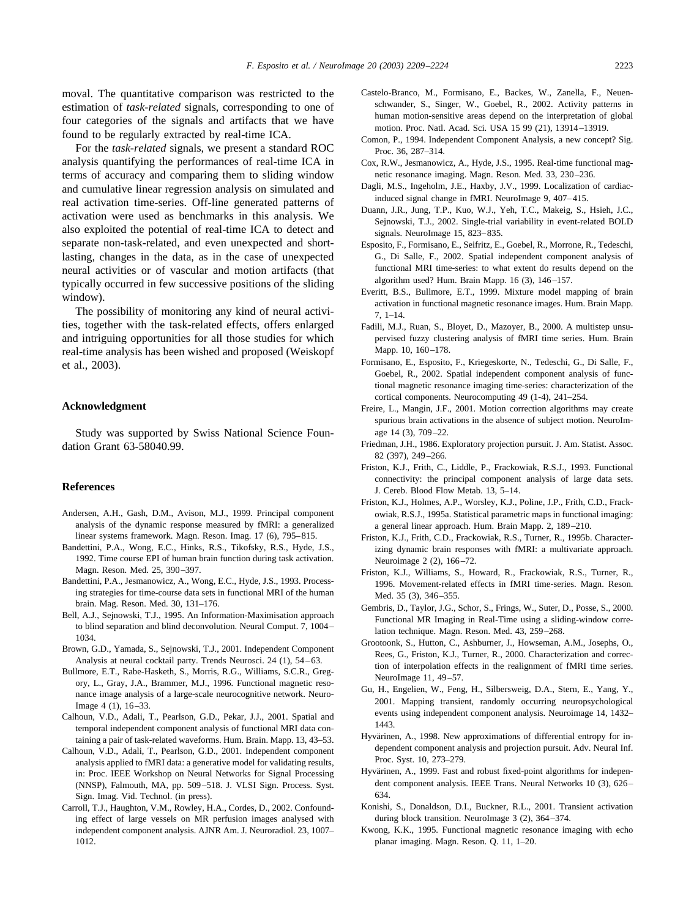<span id="page-15-0"></span>moval. The quantitative comparison was restricted to the estimation of *task-related* signals, corresponding to one of four categories of the signals and artifacts that we have found to be regularly extracted by real-time ICA.

For the *task-related* signals, we present a standard ROC analysis quantifying the performances of real-time ICA in terms of accuracy and comparing them to sliding window and cumulative linear regression analysis on simulated and real activation time-series. Off-line generated patterns of activation were used as benchmarks in this analysis. We also exploited the potential of real-time ICA to detect and separate non-task-related, and even unexpected and shortlasting, changes in the data, as in the case of unexpected neural activities or of vascular and motion artifacts (that typically occurred in few successive positions of the sliding window).

The possibility of monitoring any kind of neural activities, together with the task-related effects, offers enlarged and intriguing opportunities for all those studies for which real-time analysis has been wished and proposed [\(Weiskopf](#page-16-0) [et al., 2003\).](#page-16-0)

#### **Acknowledgment**

Study was supported by Swiss National Science Foundation Grant 63-58040.99.

#### **References**

- Andersen, A.H., Gash, D.M., Avison, M.J., 1999. Principal component analysis of the dynamic response measured by fMRI: a generalized linear systems framework. Magn. Reson. Imag. 17 (6), 795–815.
- Bandettini, P.A., Wong, E.C., Hinks, R.S., Tikofsky, R.S., Hyde, J.S., 1992. Time course EPI of human brain function during task activation. Magn. Reson. Med. 25, 390–397.
- Bandettini, P.A., Jesmanowicz, A., Wong, E.C., Hyde, J.S., 1993. Processing strategies for time-course data sets in functional MRI of the human brain. Mag. Reson. Med. 30, 131–176.
- Bell, A.J., Sejnowski, T.J., 1995. An Information-Maximisation approach to blind separation and blind deconvolution. Neural Comput. 7, 1004– 1034.
- Brown, G.D., Yamada, S., Sejnowski, T.J., 2001. Independent Component Analysis at neural cocktail party. Trends Neurosci. 24 (1), 54–63.
- Bullmore, E.T., Rabe-Hasketh, S., Morris, R.G., Williams, S.C.R., Gregory, L., Gray, J.A., Brammer, M.J., 1996. Functional magnetic resonance image analysis of a large-scale neurocognitive network. Neuro-Image 4 (1), 16–33.
- Calhoun, V.D., Adali, T., Pearlson, G.D., Pekar, J.J., 2001. Spatial and temporal independent component analysis of functional MRI data containing a pair of task-related waveforms. Hum. Brain. Mapp. 13, 43–53.
- Calhoun, V.D., Adali, T., Pearlson, G.D., 2001. Independent component analysis applied to fMRI data: a generative model for validating results, in: Proc. IEEE Workshop on Neural Networks for Signal Processing (NNSP), Falmouth, MA, pp. 509–518. J. VLSI Sign. Process. Syst. Sign. Imag. Vid. Technol. (in press).
- Carroll, T.J., Haughton, V.M., Rowley, H.A., Cordes, D., 2002. Confounding effect of large vessels on MR perfusion images analysed with independent component analysis. AJNR Am. J. Neuroradiol. 23, 1007– 1012.
- Castelo-Branco, M., Formisano, E., Backes, W., Zanella, F., Neuenschwander, S., Singer, W., Goebel, R., 2002. Activity patterns in human motion-sensitive areas depend on the interpretation of global motion. Proc. Natl. Acad. Sci. USA 15 99 (21), 13914–13919.
- Comon, P., 1994. Independent Component Analysis, a new concept? Sig. Proc. 36, 287–314.
- Cox, R.W., Jesmanowicz, A., Hyde, J.S., 1995. Real-time functional magnetic resonance imaging. Magn. Reson. Med. 33, 230–236.
- Dagli, M.S., Ingeholm, J.E., Haxby, J.V., 1999. Localization of cardiacinduced signal change in fMRI. NeuroImage 9, 407–415.
- Duann, J.R., Jung, T.P., Kuo, W.J., Yeh, T.C., Makeig, S., Hsieh, J.C., Sejnowski, T.J., 2002. Single-trial variability in event-related BOLD signals. NeuroImage 15, 823–835.
- Esposito, F., Formisano, E., Seifritz, E., Goebel, R., Morrone, R., Tedeschi, G., Di Salle, F., 2002. Spatial independent component analysis of functional MRI time-series: to what extent do results depend on the algorithm used? Hum. Brain Mapp. 16 (3), 146–157.
- Everitt, B.S., Bullmore, E.T., 1999. Mixture model mapping of brain activation in functional magnetic resonance images. Hum. Brain Mapp. 7, 1–14.
- Fadili, M.J., Ruan, S., Bloyet, D., Mazoyer, B., 2000. A multistep unsupervised fuzzy clustering analysis of fMRI time series. Hum. Brain Mapp. 10, 160–178.
- Formisano, E., Esposito, F., Kriegeskorte, N., Tedeschi, G., Di Salle, F., Goebel, R., 2002. Spatial independent component analysis of functional magnetic resonance imaging time-series: characterization of the cortical components. Neurocomputing 49 (1-4), 241–254.
- Freire, L., Mangin, J.F., 2001. Motion correction algorithms may create spurious brain activations in the absence of subject motion. NeuroImage 14 (3), 709–22.
- Friedman, J.H., 1986. Exploratory projection pursuit. J. Am. Statist. Assoc. 82 (397), 249–266.
- Friston, K.J., Frith, C., Liddle, P., Frackowiak, R.S.J., 1993. Functional connectivity: the principal component analysis of large data sets. J. Cereb. Blood Flow Metab. 13, 5–14.
- Friston, K.J., Holmes, A.P., Worsley, K.J., Poline, J.P., Frith, C.D., Frackowiak, R.S.J., 1995a. Statistical parametric maps in functional imaging: a general linear approach. Hum. Brain Mapp. 2, 189–210.
- Friston, K.J., Frith, C.D., Frackowiak, R.S., Turner, R., 1995b. Characterizing dynamic brain responses with fMRI: a multivariate approach. Neuroimage 2 (2), 166–72.
- Friston, K.J., Williams, S., Howard, R., Frackowiak, R.S., Turner, R., 1996. Movement-related effects in fMRI time-series. Magn. Reson. Med. 35 (3), 346–355.
- Gembris, D., Taylor, J.G., Schor, S., Frings, W., Suter, D., Posse, S., 2000. Functional MR Imaging in Real-Time using a sliding-window correlation technique. Magn. Reson. Med. 43, 259–268.
- Grootoonk, S., Hutton, C., Ashburner, J., Howseman, A.M., Josephs, O., Rees, G., Friston, K.J., Turner, R., 2000. Characterization and correction of interpolation effects in the realignment of fMRI time series. NeuroImage 11, 49–57.
- Gu, H., Engelien, W., Feng, H., Silbersweig, D.A., Stern, E., Yang, Y., 2001. Mapping transient, randomly occurring neuropsychological events using independent component analysis. Neuroimage 14, 1432– 1443.
- Hyvärinen, A., 1998. New approximations of differential entropy for independent component analysis and projection pursuit. Adv. Neural Inf. Proc. Syst. 10, 273–279.
- Hyvärinen, A., 1999. Fast and robust fixed-point algorithms for independent component analysis. IEEE Trans. Neural Networks 10 (3), 626– 634.
- Konishi, S., Donaldson, D.I., Buckner, R.L., 2001. Transient activation during block transition. NeuroImage 3 (2), 364–374.
- Kwong, K.K., 1995. Functional magnetic resonance imaging with echo planar imaging. Magn. Reson. Q. 11, 1–20.